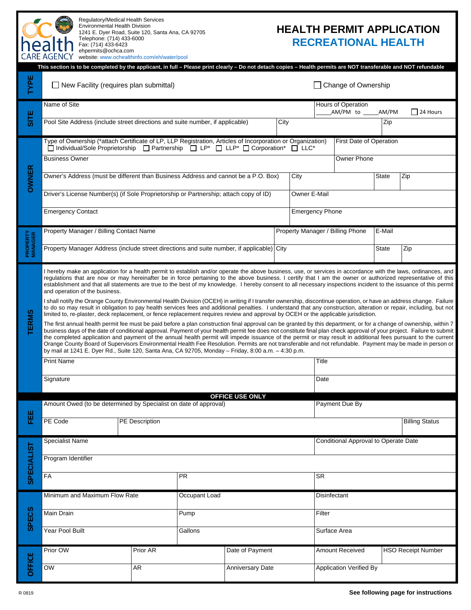

 1241 E. Dyer Road, Suite 120, Santa Ana, CA 92705 Regulatory/Medical Health Services Environmental Health Division Telephone: (714) 433-6000 Fax: (714) 433-6423 ehpermits@ochca.com

## **HEALTH PERMIT APPLICATION RECREATIONAL HEALTH**

|                                                                                                                                                                  | CARE AGENCY website: www.ochealthinfo.com/eh/water/pool                                                                                                                                                                                                                                                                                                                                                                                                                                                                                                                                                                                                                                                                                                                                                                                                                                                                                                                                                                                                                                                                                                                                                                                                                                                                                                                                                                                                                                                                                                                                                                                                                                                                                                                                                                                                             |          |      |                         |                                  |                             |                                                            |        |       |                           |  |
|------------------------------------------------------------------------------------------------------------------------------------------------------------------|---------------------------------------------------------------------------------------------------------------------------------------------------------------------------------------------------------------------------------------------------------------------------------------------------------------------------------------------------------------------------------------------------------------------------------------------------------------------------------------------------------------------------------------------------------------------------------------------------------------------------------------------------------------------------------------------------------------------------------------------------------------------------------------------------------------------------------------------------------------------------------------------------------------------------------------------------------------------------------------------------------------------------------------------------------------------------------------------------------------------------------------------------------------------------------------------------------------------------------------------------------------------------------------------------------------------------------------------------------------------------------------------------------------------------------------------------------------------------------------------------------------------------------------------------------------------------------------------------------------------------------------------------------------------------------------------------------------------------------------------------------------------------------------------------------------------------------------------------------------------|----------|------|-------------------------|----------------------------------|-----------------------------|------------------------------------------------------------|--------|-------|---------------------------|--|
| This section is to be completed by the applicant, in full - Please print clearly - Do not detach copies - Health permits are NOT transferable and NOT refundable |                                                                                                                                                                                                                                                                                                                                                                                                                                                                                                                                                                                                                                                                                                                                                                                                                                                                                                                                                                                                                                                                                                                                                                                                                                                                                                                                                                                                                                                                                                                                                                                                                                                                                                                                                                                                                                                                     |          |      |                         |                                  |                             |                                                            |        |       |                           |  |
| TYPE                                                                                                                                                             | $\Box$ New Facility (requires plan submittal)                                                                                                                                                                                                                                                                                                                                                                                                                                                                                                                                                                                                                                                                                                                                                                                                                                                                                                                                                                                                                                                                                                                                                                                                                                                                                                                                                                                                                                                                                                                                                                                                                                                                                                                                                                                                                       |          |      |                         |                                  |                             | Change of Ownership                                        |        |       |                           |  |
|                                                                                                                                                                  | Name of Site                                                                                                                                                                                                                                                                                                                                                                                                                                                                                                                                                                                                                                                                                                                                                                                                                                                                                                                                                                                                                                                                                                                                                                                                                                                                                                                                                                                                                                                                                                                                                                                                                                                                                                                                                                                                                                                        |          |      |                         |                                  |                             | Hours of Operation<br>AM/PM to<br>AM/PM<br>$\Box$ 24 Hours |        |       |                           |  |
| SITE                                                                                                                                                             | Pool Site Address (include street directions and suite number, if applicable)                                                                                                                                                                                                                                                                                                                                                                                                                                                                                                                                                                                                                                                                                                                                                                                                                                                                                                                                                                                                                                                                                                                                                                                                                                                                                                                                                                                                                                                                                                                                                                                                                                                                                                                                                                                       |          |      |                         | City<br>Zip                      |                             |                                                            |        |       |                           |  |
| <b>OWNER</b>                                                                                                                                                     | Type of Ownership (*attach Certificate of LP, LLP Registration, Articles of Incorporation or Organization)<br>□ Individual/Sole Proprietorship □ Partnership □ LP <sup>*</sup> □ LLP <sup>*</sup> □ Corporation <sup>*</sup> □ LLC <sup>*</sup>                                                                                                                                                                                                                                                                                                                                                                                                                                                                                                                                                                                                                                                                                                                                                                                                                                                                                                                                                                                                                                                                                                                                                                                                                                                                                                                                                                                                                                                                                                                                                                                                                     |          |      |                         |                                  | First Date of Operation     |                                                            |        |       |                           |  |
|                                                                                                                                                                  | <b>Business Owner</b>                                                                                                                                                                                                                                                                                                                                                                                                                                                                                                                                                                                                                                                                                                                                                                                                                                                                                                                                                                                                                                                                                                                                                                                                                                                                                                                                                                                                                                                                                                                                                                                                                                                                                                                                                                                                                                               |          |      |                         |                                  |                             | <b>Owner Phone</b>                                         |        |       |                           |  |
|                                                                                                                                                                  | Owner's Address (must be different than Business Address and cannot be a P.O. Box)                                                                                                                                                                                                                                                                                                                                                                                                                                                                                                                                                                                                                                                                                                                                                                                                                                                                                                                                                                                                                                                                                                                                                                                                                                                                                                                                                                                                                                                                                                                                                                                                                                                                                                                                                                                  |          |      |                         |                                  | City<br><b>State</b><br>Zip |                                                            |        |       |                           |  |
|                                                                                                                                                                  | Driver's License Number(s) (if Sole Proprietorship or Partnership; attach copy of ID)                                                                                                                                                                                                                                                                                                                                                                                                                                                                                                                                                                                                                                                                                                                                                                                                                                                                                                                                                                                                                                                                                                                                                                                                                                                                                                                                                                                                                                                                                                                                                                                                                                                                                                                                                                               |          |      |                         |                                  |                             | Owner E-Mail                                               |        |       |                           |  |
|                                                                                                                                                                  | <b>Emergency Contact</b>                                                                                                                                                                                                                                                                                                                                                                                                                                                                                                                                                                                                                                                                                                                                                                                                                                                                                                                                                                                                                                                                                                                                                                                                                                                                                                                                                                                                                                                                                                                                                                                                                                                                                                                                                                                                                                            |          |      |                         |                                  | <b>Emergency Phone</b>      |                                                            |        |       |                           |  |
| <b>PROPERTY</b><br>MANAGER                                                                                                                                       | Property Manager / Billing Contact Name                                                                                                                                                                                                                                                                                                                                                                                                                                                                                                                                                                                                                                                                                                                                                                                                                                                                                                                                                                                                                                                                                                                                                                                                                                                                                                                                                                                                                                                                                                                                                                                                                                                                                                                                                                                                                             |          |      |                         | Property Manager / Billing Phone |                             |                                                            | E-Mail |       |                           |  |
|                                                                                                                                                                  | Property Manager Address (include street directions and suite number, if applicable) City                                                                                                                                                                                                                                                                                                                                                                                                                                                                                                                                                                                                                                                                                                                                                                                                                                                                                                                                                                                                                                                                                                                                                                                                                                                                                                                                                                                                                                                                                                                                                                                                                                                                                                                                                                           |          |      |                         |                                  |                             |                                                            |        | State | Zip                       |  |
| <b>TERMS</b>                                                                                                                                                     | I hereby make an application for a health permit to establish and/or operate the above business, use, or services in accordance with the laws, ordinances, and<br>regulations that are now or may hereinafter be in force pertaining to the above business. I certify that I am the owner or authorized representative of this<br>establishment and that all statements are true to the best of my knowledge. I hereby consent to all necessary inspections incident to the issuance of this permit<br>and operation of the business.<br>I shall notify the Orange County Environmental Health Division (OCEH) in writing if I transfer ownership, discontinue operation, or have an address change. Failure<br>to do so may result in obligation to pay health services fees and additional penalties. I understand that any construction, alteration or repair, including, but not<br>limited to, re-plaster, deck replacement, or fence replacement requires review and approval by OCEH or the applicable jurisdiction.<br>The first annual health permit fee must be paid before a plan construction final approval can be granted by this department, or for a change of ownership, within 7<br>business days of the date of conditional approval. Payment of your health permit fee does not constitute final plan check approval of your project. Failure to submit<br>the completed application and payment of the annual health permit will impede issuance of the permit or may result in additional fees pursuant to the current<br>Orange County Board of Supervisors Environmental Health Fee Resolution. Permits are not transferable and not refundable. Payment may be made in person or<br>by mail at 1241 E. Dyer Rd., Suite 120, Santa Ana, CA 92705, Monday - Friday, 8:00 a.m. - 4:30 p.m.<br><b>Print Name</b><br>Title<br>Signature<br>Date |          |      |                         |                                  |                             |                                                            |        |       |                           |  |
|                                                                                                                                                                  | <b>OFFICE USE ONLY</b>                                                                                                                                                                                                                                                                                                                                                                                                                                                                                                                                                                                                                                                                                                                                                                                                                                                                                                                                                                                                                                                                                                                                                                                                                                                                                                                                                                                                                                                                                                                                                                                                                                                                                                                                                                                                                                              |          |      |                         |                                  |                             |                                                            |        |       |                           |  |
| 쁥                                                                                                                                                                | Amount Owed (to be determined by Specialist on date of approval)                                                                                                                                                                                                                                                                                                                                                                                                                                                                                                                                                                                                                                                                                                                                                                                                                                                                                                                                                                                                                                                                                                                                                                                                                                                                                                                                                                                                                                                                                                                                                                                                                                                                                                                                                                                                    |          |      |                         |                                  |                             | Payment Due By                                             |        |       |                           |  |
|                                                                                                                                                                  | PE Code<br><b>PE</b> Description                                                                                                                                                                                                                                                                                                                                                                                                                                                                                                                                                                                                                                                                                                                                                                                                                                                                                                                                                                                                                                                                                                                                                                                                                                                                                                                                                                                                                                                                                                                                                                                                                                                                                                                                                                                                                                    |          |      |                         |                                  |                             | <b>Billing Status</b>                                      |        |       |                           |  |
| <b>SPECIALIST</b>                                                                                                                                                | <b>Specialist Name</b>                                                                                                                                                                                                                                                                                                                                                                                                                                                                                                                                                                                                                                                                                                                                                                                                                                                                                                                                                                                                                                                                                                                                                                                                                                                                                                                                                                                                                                                                                                                                                                                                                                                                                                                                                                                                                                              |          |      |                         |                                  |                             | Conditional Approval to Operate Date                       |        |       |                           |  |
|                                                                                                                                                                  | Program Identifier                                                                                                                                                                                                                                                                                                                                                                                                                                                                                                                                                                                                                                                                                                                                                                                                                                                                                                                                                                                                                                                                                                                                                                                                                                                                                                                                                                                                                                                                                                                                                                                                                                                                                                                                                                                                                                                  |          |      |                         |                                  |                             |                                                            |        |       |                           |  |
|                                                                                                                                                                  | FA<br><b>PR</b>                                                                                                                                                                                                                                                                                                                                                                                                                                                                                                                                                                                                                                                                                                                                                                                                                                                                                                                                                                                                                                                                                                                                                                                                                                                                                                                                                                                                                                                                                                                                                                                                                                                                                                                                                                                                                                                     |          |      |                         |                                  |                             | SR                                                         |        |       |                           |  |
| <b>SPECS</b>                                                                                                                                                     | Minimum and Maximum Flow Rate<br>Occupant Load                                                                                                                                                                                                                                                                                                                                                                                                                                                                                                                                                                                                                                                                                                                                                                                                                                                                                                                                                                                                                                                                                                                                                                                                                                                                                                                                                                                                                                                                                                                                                                                                                                                                                                                                                                                                                      |          |      |                         |                                  |                             | Disinfectant                                               |        |       |                           |  |
|                                                                                                                                                                  | Main Drain                                                                                                                                                                                                                                                                                                                                                                                                                                                                                                                                                                                                                                                                                                                                                                                                                                                                                                                                                                                                                                                                                                                                                                                                                                                                                                                                                                                                                                                                                                                                                                                                                                                                                                                                                                                                                                                          |          | Pump |                         |                                  | Filter                      |                                                            |        |       |                           |  |
|                                                                                                                                                                  | Year Pool Built                                                                                                                                                                                                                                                                                                                                                                                                                                                                                                                                                                                                                                                                                                                                                                                                                                                                                                                                                                                                                                                                                                                                                                                                                                                                                                                                                                                                                                                                                                                                                                                                                                                                                                                                                                                                                                                     | Gallons  |      |                         |                                  | Surface Area                |                                                            |        |       |                           |  |
| <b>OFFICE</b>                                                                                                                                                    | Prior OW                                                                                                                                                                                                                                                                                                                                                                                                                                                                                                                                                                                                                                                                                                                                                                                                                                                                                                                                                                                                                                                                                                                                                                                                                                                                                                                                                                                                                                                                                                                                                                                                                                                                                                                                                                                                                                                            | Prior AR |      | Date of Payment         |                                  |                             | Amount Received                                            |        |       | <b>HSO Receipt Number</b> |  |
|                                                                                                                                                                  | OW                                                                                                                                                                                                                                                                                                                                                                                                                                                                                                                                                                                                                                                                                                                                                                                                                                                                                                                                                                                                                                                                                                                                                                                                                                                                                                                                                                                                                                                                                                                                                                                                                                                                                                                                                                                                                                                                  | AR       |      | <b>Anniversary Date</b> |                                  |                             | Application Verified By                                    |        |       |                           |  |